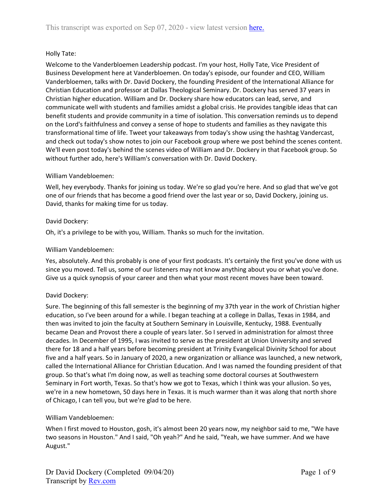# Holly Tate:

Welcome to the Vanderbloemen Leadership podcast. I'm your host, Holly Tate, Vice President of Business Development here at Vanderbloemen. On today's episode, our founder and CEO, William Vanderbloemen, talks with Dr. David Dockery, the founding President of the International Alliance for Christian Education and professor at Dallas Theological Seminary. Dr. Dockery has served 37 years in Christian higher education. William and Dr. Dockery share how educators can lead, serve, and communicate well with students and families amidst a global crisis. He provides tangible ideas that can benefit students and provide community in a time of isolation. This conversation reminds us to depend on the Lord's faithfulness and convey a sense of hope to students and families as they navigate this transformational time of life. Tweet your takeaways from today's show using the hashtag Vandercast, and check out today's show notes to join our Facebook group where we post behind the scenes content. We'll even post today's behind the scenes video of William and Dr. Dockery in that Facebook group. So without further ado, here's William's conversation with Dr. David Dockery.

# William Vandebloemen:

Well, hey everybody. Thanks for joining us today. We're so glad you're here. And so glad that we've got one of our friends that has become a good friend over the last year or so, David Dockery, joining us. David, thanks for making time for us today.

# David Dockery:

Oh, it's a privilege to be with you, William. Thanks so much for the invitation.

## William Vandebloemen:

Yes, absolutely. And this probably is one of your first podcasts. It's certainly the first you've done with us since you moved. Tell us, some of our listeners may not know anything about you or what you've done. Give us a quick synopsis of your career and then what your most recent moves have been toward.

# David Dockery:

Sure. The beginning of this fall semester is the beginning of my 37th year in the work of Christian higher education, so I've been around for a while. I began teaching at a college in Dallas, Texas in 1984, and then was invited to join the faculty at Southern Seminary in Louisville, Kentucky, 1988. Eventually became Dean and Provost there a couple of years later. So I served in administration for almost three decades. In December of 1995, I was invited to serve as the president at Union University and served there for 18 and a half years before becoming president at Trinity Evangelical Divinity School for about five and a half years. So in January of 2020, a new organization or alliance was launched, a new network, called the International Alliance for Christian Education. And I was named the founding president of that group. So that's what I'm doing now, as well as teaching some doctoral courses at Southwestern Seminary in Fort worth, Texas. So that's how we got to Texas, which I think was your allusion. So yes, we're in a new hometown, 50 days here in Texas. It is much warmer than it was along that north shore of Chicago, I can tell you, but we're glad to be here.

## William Vandebloemen:

When I first moved to Houston, gosh, it's almost been 20 years now, my neighbor said to me, "We have two seasons in Houston." And I said, "Oh yeah?" And he said, "Yeah, we have summer. And we have August."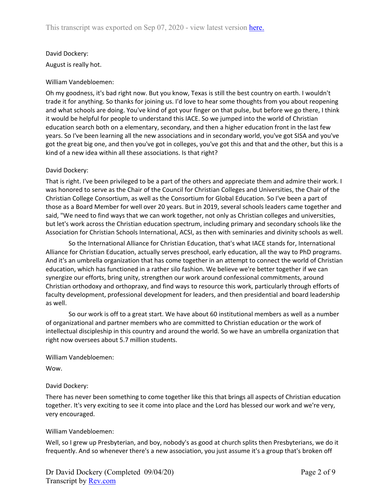# David Dockery: August is really hot.

# William Vandebloemen:

Oh my goodness, it's bad right now. But you know, Texas is still the best country on earth. I wouldn't trade it for anything. So thanks for joining us. I'd love to hear some thoughts from you about reopening and what schools are doing. You've kind of got your finger on that pulse, but before we go there, I think it would be helpful for people to understand this IACE. So we jumped into the world of Christian education search both on a elementary, secondary, and then a higher education front in the last few years. So I've been learning all the new associations and in secondary world, you've got SISA and you've got the great big one, and then you've got in colleges, you've got this and that and the other, but this is a kind of a new idea within all these associations. Is that right?

# David Dockery:

That is right. I've been privileged to be a part of the others and appreciate them and admire their work. I was honored to serve as the Chair of the Council for Christian Colleges and Universities, the Chair of the Christian College Consortium, as well as the Consortium for Global Education. So I've been a part of those as a Board Member for well over 20 years. But in 2019, several schools leaders came together and said, "We need to find ways that we can work together, not only as Christian colleges and universities, but let's work across the Christian education spectrum, including primary and secondary schools like the Association for Christian Schools International, ACSI, as then with seminaries and divinity schools as well.

So the International Alliance for Christian Education, that's what IACE stands for, International Alliance for Christian Education, actually serves preschool, early education, all the way to PhD programs. And it's an umbrella organization that has come together in an attempt to connect the world of Christian education, which has functioned in a rather silo fashion. We believe we're better together if we can synergize our efforts, bring unity, strengthen our work around confessional commitments, around Christian orthodoxy and orthopraxy, and find ways to resource this work, particularly through efforts of faculty development, professional development for leaders, and then presidential and board leadership as well.

So our work is off to a great start. We have about 60 institutional members as well as a number of organizational and partner members who are committed to Christian education or the work of intellectual discipleship in this country and around the world. So we have an umbrella organization that right now oversees about 5.7 million students.

William Vandebloemen:

Wow.

# David Dockery:

There has never been something to come together like this that brings all aspects of Christian education together. It's very exciting to see it come into place and the Lord has blessed our work and we're very, very encouraged.

# William Vandebloemen:

Well, so I grew up Presbyterian, and boy, nobody's as good at church splits then Presbyterians, we do it frequently. And so whenever there's a new association, you just assume it's a group that's broken off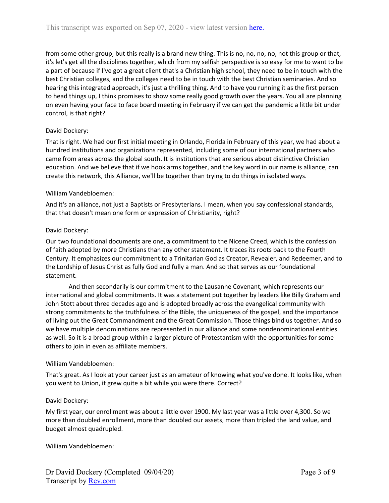from some other group, but this really is a brand new thing. This is no, no, no, no, not this group or that, it's let's get all the disciplines together, which from my selfish perspective is so easy for me to want to be a part of because if I've got a great client that's a Christian high school, they need to be in touch with the best Christian colleges, and the colleges need to be in touch with the best Christian seminaries. And so hearing this integrated approach, it's just a thrilling thing. And to have you running it as the first person to head things up, I think promises to show some really good growth over the years. You all are planning on even having your face to face board meeting in February if we can get the pandemic a little bit under control, is that right?

# David Dockery:

That is right. We had our first initial meeting in Orlando, Florida in February of this year, we had about a hundred institutions and organizations represented, including some of our international partners who came from areas across the global south. It is institutions that are serious about distinctive Christian education. And we believe that if we hook arms together, and the key word in our name is alliance, can create this network, this Alliance, we'll be together than trying to do things in isolated ways.

## William Vandebloemen:

And it's an alliance, not just a Baptists or Presbyterians. I mean, when you say confessional standards, that that doesn't mean one form or expression of Christianity, right?

# David Dockery:

Our two foundational documents are one, a commitment to the Nicene Creed, which is the confession of faith adopted by more Christians than any other statement. It traces its roots back to the Fourth Century. It emphasizes our commitment to a Trinitarian God as Creator, Revealer, and Redeemer, and to the Lordship of Jesus Christ as fully God and fully a man. And so that serves as our foundational statement.

And then secondarily is our commitment to the Lausanne Covenant, which represents our international and global commitments. It was a statement put together by leaders like Billy Graham and John Stott about three decades ago and is adopted broadly across the evangelical community with strong commitments to the truthfulness of the Bible, the uniqueness of the gospel, and the importance of living out the Great Commandment and the Great Commission. Those things bind us together. And so we have multiple denominations are represented in our alliance and some nondenominational entities as well. So it is a broad group within a larger picture of Protestantism with the opportunities for some others to join in even as affiliate members.

## William Vandebloemen:

That's great. As I look at your career just as an amateur of knowing what you've done. It looks like, when you went to Union, it grew quite a bit while you were there. Correct?

## David Dockery:

My first year, our enrollment was about a little over 1900. My last year was a little over 4,300. So we more than doubled enrollment, more than doubled our assets, more than tripled the land value, and budget almost quadrupled.

William Vandebloemen: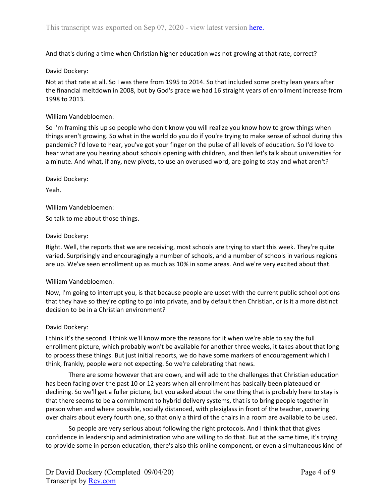And that's during a time when Christian higher education was not growing at that rate, correct?

### David Dockery:

Not at that rate at all. So I was there from 1995 to 2014. So that included some pretty lean years after the financial meltdown in 2008, but by God's grace we had 16 straight years of enrollment increase from 1998 to 2013.

#### William Vandebloemen:

So I'm framing this up so people who don't know you will realize you know how to grow things when things aren't growing. So what in the world do you do if you're trying to make sense of school during this pandemic? I'd love to hear, you've got your finger on the pulse of all levels of education. So I'd love to hear what are you hearing about schools opening with children, and then let's talk about universities for a minute. And what, if any, new pivots, to use an overused word, are going to stay and what aren't?

David Dockery:

Yeah.

William Vandebloemen:

So talk to me about those things.

#### David Dockery:

Right. Well, the reports that we are receiving, most schools are trying to start this week. They're quite varied. Surprisingly and encouragingly a number of schools, and a number of schools in various regions are up. We've seen enrollment up as much as 10% in some areas. And we're very excited about that.

#### William Vandebloemen:

Now, I'm going to interrupt you, is that because people are upset with the current public school options that they have so they're opting to go into private, and by default then Christian, or is it a more distinct decision to be in a Christian environment?

#### David Dockery:

I think it's the second. I think we'll know more the reasons for it when we're able to say the full enrollment picture, which probably won't be available for another three weeks, it takes about that long to process these things. But just initial reports, we do have some markers of encouragement which I think, frankly, people were not expecting. So we're celebrating that news.

There are some however that are down, and will add to the challenges that Christian education has been facing over the past 10 or 12 years when all enrollment has basically been plateaued or declining. So we'll get a fuller picture, but you asked about the one thing that is probably here to stay is that there seems to be a commitment to hybrid delivery systems, that is to bring people together in person when and where possible, socially distanced, with plexiglass in front of the teacher, covering over chairs about every fourth one, so that only a third of the chairs in a room are available to be used.

So people are very serious about following the right protocols. And I think that that gives confidence in leadership and administration who are willing to do that. But at the same time, it's trying to provide some in person education, there's also this online component, or even a simultaneous kind of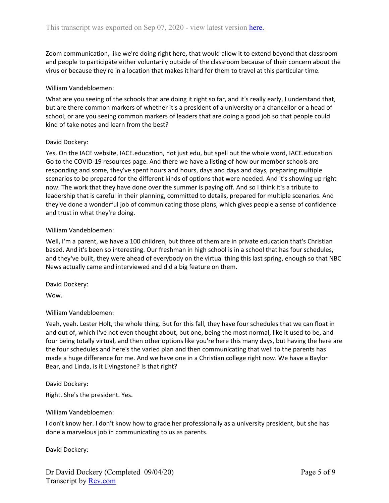Zoom communication, like we're doing right here, that would allow it to extend beyond that classroom and people to participate either voluntarily outside of the classroom because of their concern about the virus or because they're in a location that makes it hard for them to travel at this particular time.

### William Vandebloemen:

What are you seeing of the schools that are doing it right so far, and it's really early, I understand that, but are there common markers of whether it's a president of a university or a chancellor or a head of school, or are you seeing common markers of leaders that are doing a good job so that people could kind of take notes and learn from the best?

#### David Dockery:

Yes. On the IACE website, IACE.education, not just edu, but spell out the whole word, IACE.education. Go to the COVID-19 resources page. And there we have a listing of how our member schools are responding and some, they've spent hours and hours, days and days and days, preparing multiple scenarios to be prepared for the different kinds of options that were needed. And it's showing up right now. The work that they have done over the summer is paying off. And so I think it's a tribute to leadership that is careful in their planning, committed to details, prepared for multiple scenarios. And they've done a wonderful job of communicating those plans, which gives people a sense of confidence and trust in what they're doing.

#### William Vandebloemen:

Well, I'm a parent, we have a 100 children, but three of them are in private education that's Christian based. And it's been so interesting. Our freshman in high school is in a school that has four schedules, and they've built, they were ahead of everybody on the virtual thing this last spring, enough so that NBC News actually came and interviewed and did a big feature on them.

David Dockery:

Wow.

#### William Vandebloemen:

Yeah, yeah. Lester Holt, the whole thing. But for this fall, they have four schedules that we can float in and out of, which I've not even thought about, but one, being the most normal, like it used to be, and four being totally virtual, and then other options like you're here this many days, but having the here are the four schedules and here's the varied plan and then communicating that well to the parents has made a huge difference for me. And we have one in a Christian college right now. We have a Baylor Bear, and Linda, is it Livingstone? Is that right?

David Dockery:

Right. She's the president. Yes.

#### William Vandebloemen:

I don't know her. I don't know how to grade her professionally as a university president, but she has done a marvelous job in communicating to us as parents.

David Dockery: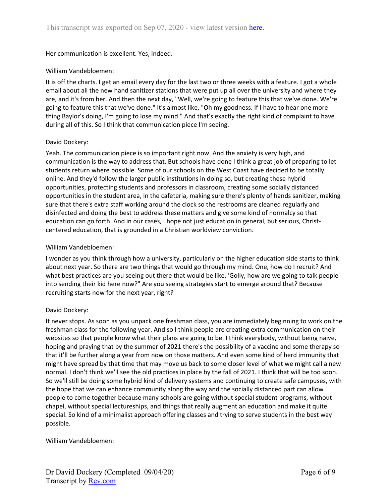Her communication is excellent. Yes, indeed.

## William Vandebloemen:

It is off the charts. I get an email every day for the last two or three weeks with a feature. I got a whole email about all the new hand sanitizer stations that were put up all over the university and where they are, and it's from her. And then the next day, "Well, we're going to feature this that we've done. We're going to feature this that we've done." It's almost like, "Oh my goodness. If I have to hear one more thing Baylor's doing, I'm going to lose my mind." And that's exactly the right kind of complaint to have during all of this. So I think that communication piece I'm seeing.

## David Dockery:

Yeah. The communication piece is so important right now. And the anxiety is very high, and communication is the way to address that. But schools have done I think a great job of preparing to let students return where possible. Some of our schools on the West Coast have decided to be totally online. And they'd follow the larger public institutions in doing so, but creating these hybrid opportunities, protecting students and professors in classroom, creating some socially distanced opportunities in the student area, in the cafeteria, making sure there's plenty of hands sanitizer, making sure that there's extra staff working around the clock so the restrooms are cleaned regularly and disinfected and doing the best to address these matters and give some kind of normalcy so that education can go forth. And in our cases, I hope not just education in general, but serious, Christcentered education, that is grounded in a Christian worldview conviction.

# William Vandebloemen:

I wonder as you think through how a university, particularly on the higher education side starts to think about next year. So there are two things that would go through my mind. One, how do I recruit? And what best practices are you seeing out there that would be like, 'Golly, how are we going to talk people into sending their kid here now?" Are you seeing strategies start to emerge around that? Because recruiting starts now for the next year, right?

## David Dockery:

It never stops. As soon as you unpack one freshman class, you are immediately beginning to work on the freshman class for the following year. And so I think people are creating extra communication on their websites so that people know what their plans are going to be. I think everybody, without being naive, hoping and praying that by the summer of 2021 there's the possibility of a vaccine and some therapy so that it'll be further along a year from now on those matters. And even some kind of herd immunity that might have spread by that time that may move us back to some closer level of what we might call a new normal. I don't think we'll see the old practices in place by the fall of 2021. I think that will be too soon. So we'll still be doing some hybrid kind of delivery systems and continuing to create safe campuses, with the hope that we can enhance community along the way and the socially distanced part can allow people to come together because many schools are going without special student programs, without chapel, without special lectureships, and things that really augment an education and make it quite special. So kind of a minimalist approach offering classes and trying to serve students in the best way possible.

## William Vandebloemen: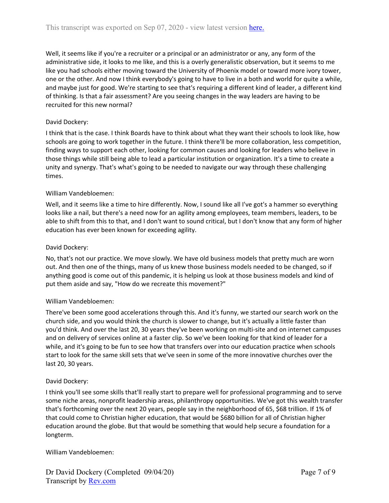Well, it seems like if you're a recruiter or a principal or an administrator or any, any form of the administrative side, it looks to me like, and this is a overly generalistic observation, but it seems to me like you had schools either moving toward the University of Phoenix model or toward more ivory tower, one or the other. And now I think everybody's going to have to live in a both and world for quite a while, and maybe just for good. We're starting to see that's requiring a different kind of leader, a different kind of thinking. Is that a fair assessment? Are you seeing changes in the way leaders are having to be recruited for this new normal?

# David Dockery:

I think that is the case. I think Boards have to think about what they want their schools to look like, how schools are going to work together in the future. I think there'll be more collaboration, less competition, finding ways to support each other, looking for common causes and looking for leaders who believe in those things while still being able to lead a particular institution or organization. It's a time to create a unity and synergy. That's what's going to be needed to navigate our way through these challenging times.

## William Vandebloemen:

Well, and it seems like a time to hire differently. Now, I sound like all I've got's a hammer so everything looks like a nail, but there's a need now for an agility among employees, team members, leaders, to be able to shift from this to that, and I don't want to sound critical, but I don't know that any form of higher education has ever been known for exceeding agility.

## David Dockery:

No, that's not our practice. We move slowly. We have old business models that pretty much are worn out. And then one of the things, many of us knew those business models needed to be changed, so if anything good is come out of this pandemic, it is helping us look at those business models and kind of put them aside and say, "How do we recreate this movement?"

## William Vandebloemen:

There've been some good accelerations through this. And it's funny, we started our search work on the church side, and you would think the church is slower to change, but it's actually a little faster than you'd think. And over the last 20, 30 years they've been working on multi-site and on internet campuses and on delivery of services online at a faster clip. So we've been looking for that kind of leader for a while, and it's going to be fun to see how that transfers over into our education practice when schools start to look for the same skill sets that we've seen in some of the more innovative churches over the last 20, 30 years.

## David Dockery:

I think you'll see some skills that'll really start to prepare well for professional programming and to serve some niche areas, nonprofit leadership areas, philanthropy opportunities. We've got this wealth transfer that's forthcoming over the next 20 years, people say in the neighborhood of 65, \$68 trillion. If 1% of that could come to Christian higher education, that would be \$680 billion for all of Christian higher education around the globe. But that would be something that would help secure a foundation for a longterm.

William Vandebloemen: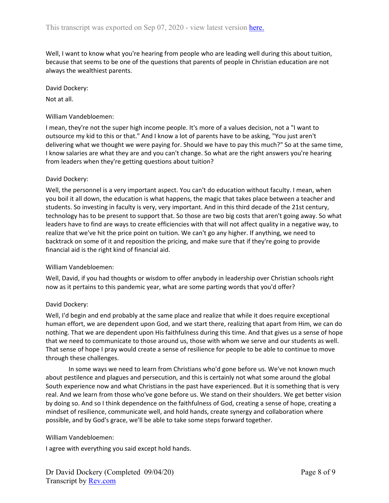Well, I want to know what you're hearing from people who are leading well during this about tuition, because that seems to be one of the questions that parents of people in Christian education are not always the wealthiest parents.

### David Dockery:

Not at all.

### William Vandebloemen:

I mean, they're not the super high income people. It's more of a values decision, not a "I want to outsource my kid to this or that." And I know a lot of parents have to be asking, "You just aren't delivering what we thought we were paying for. Should we have to pay this much?" So at the same time, I know salaries are what they are and you can't change. So what are the right answers you're hearing from leaders when they're getting questions about tuition?

#### David Dockery:

Well, the personnel is a very important aspect. You can't do education without faculty. I mean, when you boil it all down, the education is what happens, the magic that takes place between a teacher and students. So investing in faculty is very, very important. And in this third decade of the 21st century, technology has to be present to support that. So those are two big costs that aren't going away. So what leaders have to find are ways to create efficiencies with that will not affect quality in a negative way, to realize that we've hit the price point on tuition. We can't go any higher. If anything, we need to backtrack on some of it and reposition the pricing, and make sure that if they're going to provide financial aid is the right kind of financial aid.

## William Vandebloemen:

Well, David, if you had thoughts or wisdom to offer anybody in leadership over Christian schools right now as it pertains to this pandemic year, what are some parting words that you'd offer?

## David Dockery:

Well, I'd begin and end probably at the same place and realize that while it does require exceptional human effort, we are dependent upon God, and we start there, realizing that apart from Him, we can do nothing. That we are dependent upon His faithfulness during this time. And that gives us a sense of hope that we need to communicate to those around us, those with whom we serve and our students as well. That sense of hope I pray would create a sense of resilience for people to be able to continue to move through these challenges.

In some ways we need to learn from Christians who'd gone before us. We've not known much about pestilence and plagues and persecution, and this is certainly not what some around the global South experience now and what Christians in the past have experienced. But it is something that is very real. And we learn from those who've gone before us. We stand on their shoulders. We get better vision by doing so. And so I think dependence on the faithfulness of God, creating a sense of hope, creating a mindset of resilience, communicate well, and hold hands, create synergy and collaboration where possible, and by God's grace, we'll be able to take some steps forward together.

## William Vandebloemen:

I agree with everything you said except hold hands.